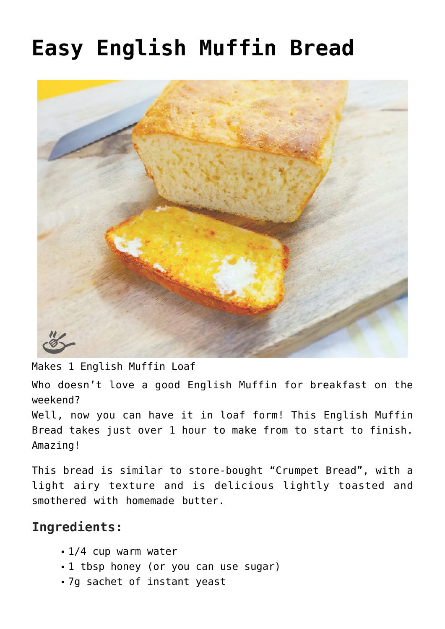## **[Easy English Muffin Bread](https://effortless-kitchen.com/2020/08/20/easy-english-muffin-bread/)**



Makes 1 English Muffin Loaf

Who doesn't love a good English Muffin for breakfast on the weekend?

Well, now you can have it in loaf form! This English Muffin Bread takes just over 1 hour to make from to start to finish. Amazing!

This bread is similar to store-bought "Crumpet Bread", with a light airy texture and is delicious lightly toasted and smothered with [homemade butter](https://effortless-kitchen.com/2019/08/11/homemade-butter/).

## **Ingredients:**

- 1/4 cup warm water
- 1 tbsp honey (or you can use sugar)
- 7g sachet of instant yeast